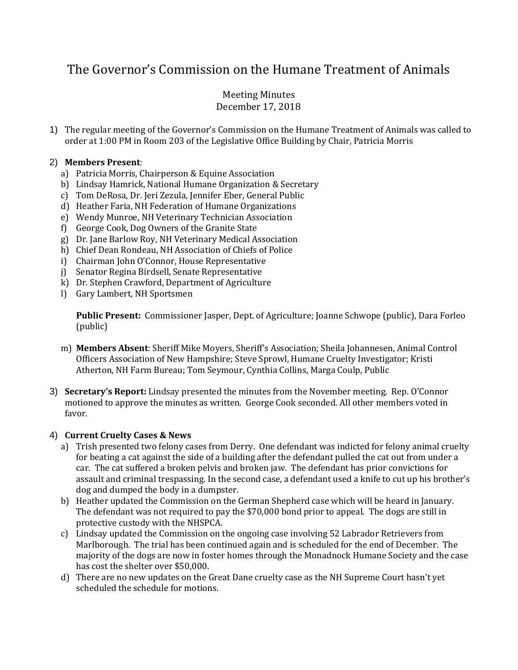# The Governor's Commission on the Humane Treatment of Animals

# Meeting Minutes December 17, 2018

1) The regular meeting of the Governor's Commission on the Humane Treatment of Animals was called to order at 1:00 PM in Room 203 of the Legislative Office Building by Chair, Patricia Morris

## 2) **Members Present**:

- a) Patricia Morris, Chairperson & Equine Association
- b) Lindsay Hamrick, National Humane Organization & Secretary
- c) Tom DeRosa, Dr. Jeri Zezula, Jennifer Eber, General Public
- d) Heather Faria, NH Federation of Humane Organizations
- e) Wendy Munroe, NH Veterinary Technician Association
- f) George Cook, Dog Owners of the Granite State
- g) Dr. Jane Barlow Roy, NH Veterinary Medical Association
- h) Chief Dean Rondeau, NH Association of Chiefs of Police
- i) Chairman John O'Connor, House Representative
- j) Senator Regina Birdsell, Senate Representative
- k) Dr. Stephen Crawford, Department of Agriculture
- l) Gary Lambert, NH Sportsmen

**Public Present:** Commissioner Jasper, Dept. of Agriculture; Joanne Schwope (public), Dara Forleo (public)

- m) **Members Absent**: Sheriff Mike Moyers, Sheriff's Association; Sheila Johannesen, Animal Control Officers Association of New Hampshire; Steve Sprowl, Humane Cruelty Investigator; Kristi Atherton, NH Farm Bureau; Tom Seymour, Cynthia Collins, Marga Coulp, Public
- 3) **Secretary's Report:** Lindsay presented the minutes from the November meeting. Rep. O'Connor motioned to approve the minutes as written. George Cook seconded. All other members voted in favor.

# 4) **Current Cruelty Cases & News**

- a) Trish presented two felony cases from Derry. One defendant was indicted for felony animal cruelty for beating a cat against the side of a building after the defendant pulled the cat out from under a car. The cat suffered a broken pelvis and broken jaw. The defendant has prior convictions for assault and criminal trespassing. In the second case, a defendant used a knife to cut up his brother's dog and dumped the body in a dumpster.
- b) Heather updated the Commission on the German Shepherd case which will be heard in January. The defendant was not required to pay the \$70,000 bond prior to appeal. The dogs are still in protective custody with the NHSPCA.
- c) Lindsay updated the Commission on the ongoing case involving 52 Labrador Retrievers from Marlborough. The trial has been continued again and is scheduled for the end of December. The majority of the dogs are now in foster homes through the Monadnock Humane Society and the case has cost the shelter over \$50,000.
- d) There are no new updates on the Great Dane cruelty case as the NH Supreme Court hasn't yet scheduled the schedule for motions.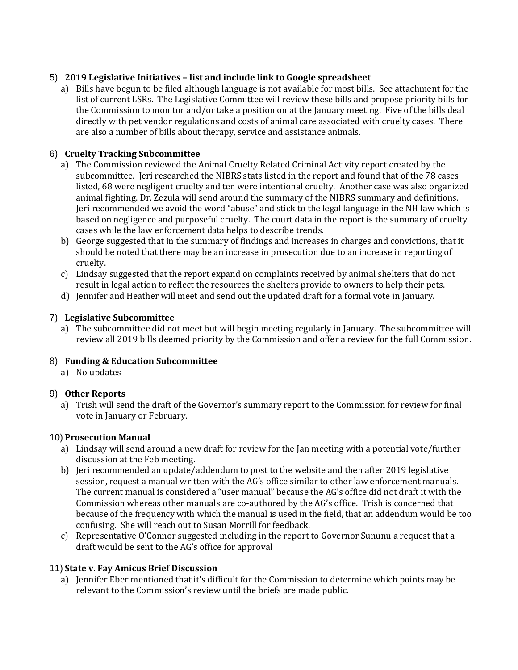# 5) **2019 Legislative Initiatives – list and include link to Google spreadsheet**

a) Bills have begun to be filed although language is not available for most bills. See attachment for the list of current LSRs. The Legislative Committee will review these bills and propose priority bills for the Commission to monitor and/or take a position on at the January meeting. Five of the bills deal directly with pet vendor regulations and costs of animal care associated with cruelty cases. There are also a number of bills about therapy, service and assistance animals.

# 6) **Cruelty Tracking Subcommittee**

- a) The Commission reviewed the Animal Cruelty Related Criminal Activity report created by the subcommittee. Jeri researched the NIBRS stats listed in the report and found that of the 78 cases listed, 68 were negligent cruelty and ten were intentional cruelty. Another case was also organized animal fighting. Dr. Zezula will send around the summary of the NIBRS summary and definitions. Jeri recommended we avoid the word "abuse" and stick to the legal language in the NH law which is based on negligence and purposeful cruelty. The court data in the report is the summary of cruelty cases while the law enforcement data helps to describe trends.
- b) George suggested that in the summary of findings and increases in charges and convictions, that it should be noted that there may be an increase in prosecution due to an increase in reporting of cruelty.
- c) Lindsay suggested that the report expand on complaints received by animal shelters that do not result in legal action to reflect the resources the shelters provide to owners to help their pets.
- d) Jennifer and Heather will meet and send out the updated draft for a formal vote in January.

# 7) **Legislative Subcommittee**

a) The subcommittee did not meet but will begin meeting regularly in January. The subcommittee will review all 2019 bills deemed priority by the Commission and offer a review for the full Commission.

# 8) **Funding & Education Subcommittee**

a) No updates

## 9) **Other Reports**

a) Trish will send the draft of the Governor's summary report to the Commission for review for final vote in January or February.

## 10) **Prosecution Manual**

- a) Lindsay will send around a new draft for review for the Jan meeting with a potential vote/further discussion at the Feb meeting.
- b) Jeri recommended an update/addendum to post to the website and then after 2019 legislative session, request a manual written with the AG's office similar to other law enforcement manuals. The current manual is considered a "user manual" because the AG's office did not draft it with the Commission whereas other manuals are co-authored by the AG's office. Trish is concerned that because of the frequency with which the manual is used in the field, that an addendum would be too confusing. She will reach out to Susan Morrill for feedback.
- c) Representative O'Connor suggested including in the report to Governor Sununu a request that a draft would be sent to the AG's office for approval

## 11) **State v. Fay Amicus Brief Discussion**

a) Jennifer Eber mentioned that it's difficult for the Commission to determine which points may be relevant to the Commission's review until the briefs are made public.